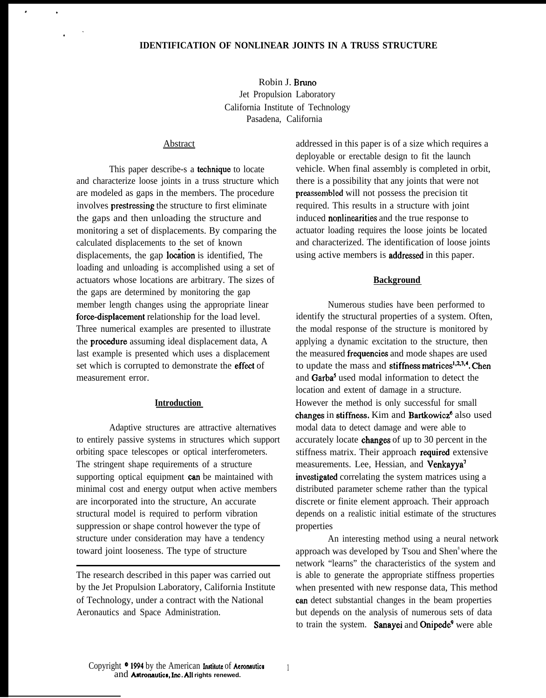# **IDENTIFICATION OF NONLINEAR JOINTS IN A TRUSS STRUCTURE**

Robin J. Bruno Jet Propulsion Laboratory California Institute of Technology Pasadena, California

#### Abstract

. .

4'

This paper describe-s a teehnique to locate and characterize loose joints in a truss structure which are modeled as gaps in the members. The procedure involves prestressing the structure to first eliminate the gaps and then unloading the structure and monitoring a set of displacements. By comparing the calculated displacements to the set of known displacements, the gap location is identified, The loading and unloading is accomplished using a set of actuators whose locations are arbitrary. The sizes of the gaps are determined by monitoring the gap member length changes using the appropriate linear force-displacement relationship for the load level. Three numerical examples are presented to illustrate the procdure assuming ideal displacement data, A last example is presented which uses a displacement set which is corrupted to demonstrate the effect of measurement error.

### **Introduction**

Adaptive structures are attractive alternatives to entirely passive systems in structures which support orbiting space telescopes or optical interferometers. The stringent shape requirements of a structure supporting optical equipment can be maintained with minimal cost and energy output when active members are incorporated into the structure, An accurate structural model is required to perform vibration suppression or shape control however the type of structure under consideration may have a tendency toward joint looseness. The type of structure

The research described in this paper was carried out by the Jet Propulsion Laboratory, California Institute of Technology, under a contract with the National Aeronautics and Space Administration.

addressed in this paper is of a size which requires a deployable or erectable design to fit the launch vehicle. When final assembly is completed in orbit, there is a possibility that any joints that were not preassembled will not possess the precision tit required. This results in a structure with joint induced nonlinearities and the true response to actuator loading requires the loose joints be located and characterized. The identification of loose joints using active members is **addressed** in this paper.

### **Background**

Numerous studies have been performed to identify the structural properties of a system. Often, the modal response of the structure is monitored by applying a dynamic excitation to the structure, then the measured frequencies and mode shapes are used to update the mass and stiffness matrices<sup>1,2,3,4</sup>. Chen and Garba<sup>5</sup> used modal information to detect the location and extent of damage in a structure. However the method is only successful for small changes in stiffness. Kim and Bartkowicz<sup>6</sup> also used modal data to detect damage and were able to accurately locate **changes** of up to 30 percent in the stiffness matrix. Their approach required extensive measurements. Lee, Hessian, and Venkayya<sup>7</sup> investigated correlating the system matrices using a distributed parameter scheme rather than the typical discrete or finite element approach. Their approach depends on a realistic initial estimate of the structures properties

An interesting method using a neural network approach was developed by Tsou and Shen<sup>8</sup> where the network "learns" the characteristics of the system and is able to generate the appropriate stiffness properties when presented with new response data, This method ean detect substantial changes in the beam properties but depends on the analysis of numerous sets of data to train the system. Sanayei and Onipede<sup>9</sup> were able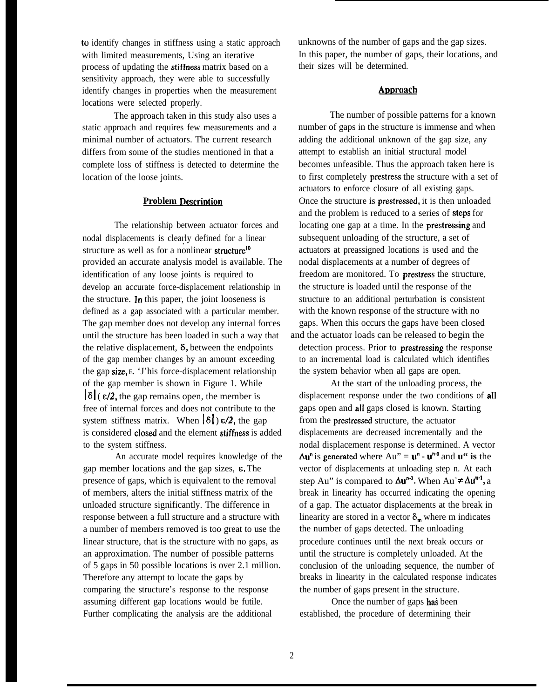to identify changes in stiffness using a static approach with limited measurements, Using an iterative process of updating the stifhess matrix based on a sensitivity approach, they were able to successfully identify changes in properties when the measurement locations were selected properly.

The approach taken in this study also uses a static approach and requires few measurements and a minimal number of actuators. The current research differs from some of the studies mentioned in that a complete loss of stiffness is detected to determine the location of the loose joints.

#### **Problem Description**

The relationship between actuator forces and nodal displacements is clearly defined for a linear . structure as well as for a nonlinear structure<sup>10</sup> provided an accurate analysis model is available. The identification of any loose joints is required to develop an accurate force-displacement relationship in the structure. In this paper, the joint looseness is defined as a gap associated with a particular member. The gap member does not develop any internal forces until the structure has been loaded in such a way that the relative displacement,  $\delta$ , between the endpoints of the gap member changes by an amount exceeding the gap size, E. 'J'his force-displacement relationship of the gap member is shown in Figure 1. While  $|\delta|$  ( $\epsilon/2$ , the gap remains open, the member is free of internal forces and does not contribute to the system stiffness matrix. When  $|\delta|$   $\varepsilon/2$ , the gap is considered closed and the element stiffness is added to the system stiffness.

An accurate model requires knowledge of the gap member locations and the gap sizes,  $\varepsilon$ . The presence of gaps, which is equivalent to the removal of members, alters the initial stiffness matrix of the unloaded structure significantly. The difference in response between a full structure and a structure with a number of members removed is too great to use the linear structure, that is the structure with no gaps, as an approximation. The number of possible patterns of 5 gaps in 50 possible locations is over 2.1 million. Therefore any attempt to locate the gaps by comparing the structure's response to the response assuming different gap locations would be futile. Further complicating the analysis are the additional

unknowns of the number of gaps and the gap sizes. In this paper, the number of gaps, their locations, and their sizes will be determined.

# **Approach**

The number of possible patterns for a known number of gaps in the structure is immense and when adding the additional unknown of the gap size, any attempt to establish an initial structural model becomes unfeasible. Thus the approach taken here is to first completely prestress the structure with a set of actuators to enforce closure of all existing gaps. Once the structure is prestressed, it is then unloaded and the problem is reduced to a series of steps for locating one gap at a time. In the prestressing and subsequent unloading of the structure, a set of actuators at preassigned locations is used and the nodal displacements at a number of degrees of freedom are monitored. To prestress the structure, the structure is loaded until the response of the structure to an additional perturbation is consistent with the known response of the structure with no gaps. When this occurs the gaps have been closed and the actuator loads can be released to begin the detection process. Prior to prestressing the response to an incremental load is calculated which identifies the system behavior when all gaps are open.

At the start of the unloading process, the displacement response under the two conditions of all gaps open and all gaps closed is known. Starting from the prestressed structure, the actuator displacements are decreased incrementally and the nodal displacement response is determined. A vector  $\Delta \mathbf{u}^n$  is generated where  $\Delta \mathbf{u}^n = \mathbf{u}^n - \mathbf{u}^{n-1}$  and  $\mathbf{u}^n$  is the vector of displacements at unloading step n. At each step Au" is compared to  $\Delta u^{n-1}$ . When  $Au^{n} \neq \Delta u^{n-1}$ , a break in linearity has occurred indicating the opening of a gap. The actuator displacements at the break in linearity are stored in a vector  $\delta_{\bf m}$  where m indicates the number of gaps detected. The unloading procedure continues until the next break occurs or until the structure is completely unloaded. At the conclusion of the unloading sequence, the number of breaks in linearity in the calculated response indicates the number of gaps present in the structure.

Once the number of gaps has been established, the procedure of determining their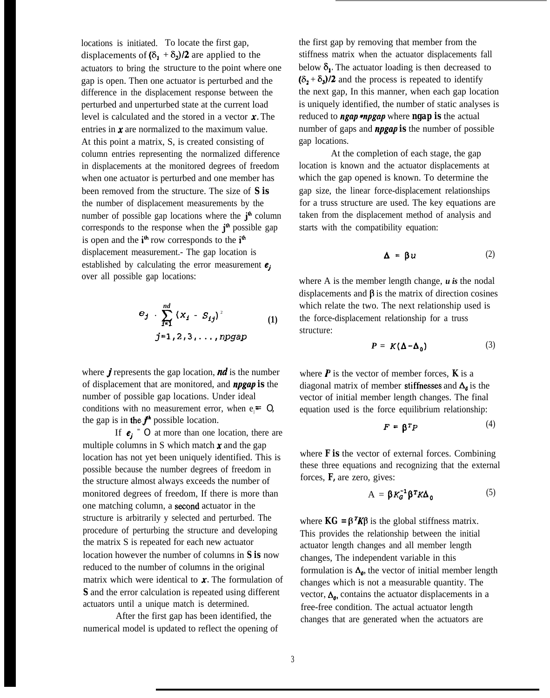locations is initiated. To locate the first gap, displacements of  $(\delta_1 + \delta_2)/2$  are applied to the actuators to bring the structure to the point where one gap is open. Then one actuator is perturbed and the difference in the displacement response between the perturbed and unperturbed state at the current load level is calculated and the stored in a vector  $\boldsymbol{x}$ . The entries in  $\boldsymbol{\mathsf{x}}$  are normalized to the maximum value. At this point a matrix, S, is created consisting of column entries representing the normalized difference in displacements at the monitored degrees of freedom when one actuator is perturbed and one member has been removed from the structure. The size of *S is* the number of displacement measurements by the number of possible gap locations where the  $j^{\text{th}}$  column corresponds to the response when the  $j<sup>th</sup>$  possible gap is open and the  $i^{\text{th}}$  row corresponds to the  $i^{\text{th}}$ displacement measurement.- The gap location is established by calculating the error measurement  $e_i$ over all possible gap locations:

$$
e_j \cdot \sum_{j=1}^{nd} (x_j - S_{ij})^2
$$
  

$$
j=1, 2, 3, ..., npgap
$$
 (1)

where  $j$  represents the gap location,  $nd$  is the number of displacement that are monitored, and *npgap is* the number of possible gap locations. Under ideal conditions with no measurement error, when  $e_i = 0$ , the gap is in the  $f^*$  possible location.

If  $e_i$ <sup>=</sup> O at more than one location, there are multiple columns in S which match  $x$  and the gap location has not yet been uniquely identified. This is possible because the number degrees of freedom in the structure almost always exceeds the number of monitored degrees of freedom, If there is more than one matching column, a second actuator in the structure is arbitrarily y selected and perturbed. The procedure of perturbing the structure and developing the matrix S is repeated for each new actuator location however the number of columns in *S is* now reduced to the number of columns in the original matrix which were identical to  $\boldsymbol{x}$ . The formulation of *S* and the error calculation is repeated using different actuators until a unique match is determined.

After the first gap has been identified, the numerical model is updated to reflect the opening of the first gap by removing that member from the stiffness matrix when the actuator displacements fall below  $\delta_1$ . The actuator loading is then decreased to  $(\delta_2 + \delta_3)/2$  and the process is repeated to identify the next gap, In this manner, when each gap location is uniquely identified, the number of static analyses is reduced to *ngop \*npgap* where *ngap is* the actual number of gaps and *npgap is* the number of possible gap locations.

At the completion of each stage, the gap location is known and the actuator displacements at which the gap opened is known. To determine the gap size, the linear force-displacement relationships for a truss structure are used. The key equations are taken from the displacement method of analysis and starts with the compatibility equation:

$$
\Delta = \beta u \tag{2}
$$

where A is the member length change, *u is* the nodal displacements and  $\beta$  is the matrix of direction cosines which relate the two. The next relationship used is the force-displacement relationship for a truss structure:

$$
P = K(\Delta - \Delta_0) \tag{3}
$$

where  $\boldsymbol{P}$  is the vector of member forces,  $\boldsymbol{K}$  is a diagonal matrix of member stiffnesses and  $\Delta_{q}$  is the vector of initial member length changes. The final equation used is the force equilibrium relationship:

$$
F = \beta^T P \tag{4}
$$

where  $\vec{F}$  is the vector of external forces. Combining these three equations and recognizing that the external forces, *F,* are zero, gives:

$$
A = \beta K_G^{-1} \beta^T K \Delta_0 \tag{5}
$$

where  $KG = \beta^T K \beta$  is the global stiffness matrix. This provides the relationship between the initial actuator length changes and all member length changes, The independent variable in this formulation is  $\Delta_{\theta}$ , the vector of initial member length changes which is not a measurable quantity. The vector,  $\Delta_{\theta}$ , contains the actuator displacements in a free-free condition. The actual actuator length changes that are generated when the actuators are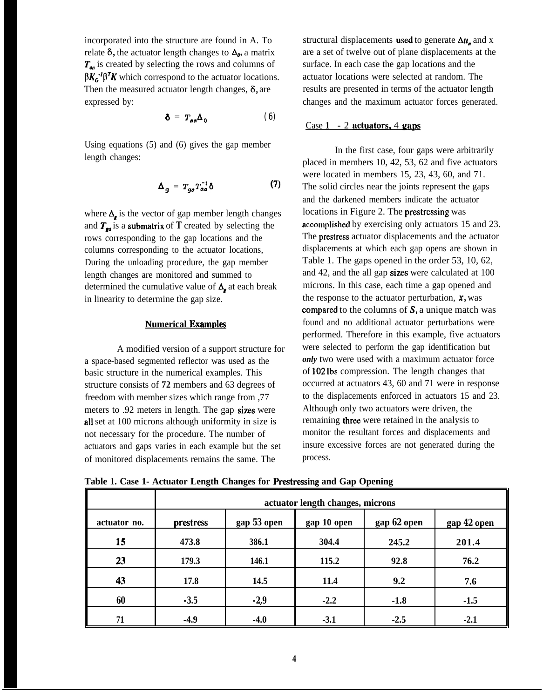incorporated into the structure are found in A. To relate  $\delta$ , the actuator length changes to  $\Delta_{\alpha}$ , a matrix  $T_{\text{eq}}$  is created by selecting the rows and columns of  $\beta K_c$ <sup>1</sup> $\beta^T K$  which correspond to the actuator locations. Then the measured actuator length changes,  $\delta$ , are expressed by:

$$
\delta = T_{aa}\Delta_0 \tag{6}
$$

Using equations (5) and (6) gives the gap member length changes:

$$
\Delta_g = T_{ga} T_{aa}^{-1} \delta \tag{7}
$$

where  $\Delta_{\mathbf{z}}$  is the vector of gap member length changes and  $T_{\text{eq}}$  is a submatrix of T created by selecting the rows corresponding to the gap locations and the columns corresponding to the actuator locations, During the unloading procedure, the gap member length changes are monitored and summed to determined the cumulative value of  $\Delta$  at each break in linearity to determine the gap size.

### **Numerical Examples**

A modified version of a support structure for a space-based segmented reflector was used as the basic structure in the numerical examples. This structure consists of **72** members and 63 degrees of freedom with member sizes which range from ,77 meters to .92 meters in length. The gap sizes were all set at 100 microns although uniformity in size is not necessary for the procedure. The number of actuators and gaps varies in each example but the set of monitored displacements remains the same. The

structural displacements used to generate  $\Delta u$ , and x are a set of twelve out of plane displacements at the surface. In each case the gap locations and the actuator locations were selected at random. The results are presented in terms of the actuator length changes and the maximum actuator forces generated.

#### $Case 1 - 2$  actuators,  $4$  gaps

In the first case, four gaps were arbitrarily placed in members 10, 42, 53, 62 and five actuators were located in members 15, 23, 43, 60, and 71. The solid circles near the joints represent the gaps and the darkened members indicate the actuator locations in Figure 2. The prestressing was accomplished by exercising only actuators 15 and 23. The prestress actuator displacements and the actuator displacements at which each gap opens are shown in Table 1. The gaps opened in the order 53, 10, 62, and 42, and the all gap sizes were calculated at 100 microns. In this case, each time a gap opened and the response to the actuator perturbation,  $x$ , was compared to the columns of  $S$ , a unique match was found and no additional actuator perturbations were performed. Therefore in this example, five actuators were selected to perform the gap identification but *only* two were used with a maximum actuator force of 102 lbs compression. The length changes that occurred at actuators 43, 60 and 71 were in response to the displacements enforced in actuators 15 and 23. Although only two actuators were driven, the remaining three were retained in the analysis to monitor the resultant forces and displacements and insure excessive forces are not generated during the process.

**Table 1. Case 1- Actuator Length Changes for Prestressing and Gap Opening**

|              | actuator length changes, microns |             |             |             |             |
|--------------|----------------------------------|-------------|-------------|-------------|-------------|
| actuator no. | prestress                        | gap 53 open | gap 10 open | gap 62 open | gap 42 open |
| 15           | 473.8                            | 386.1       | 304.4       | 245.2       | 201.4       |
| 23           | 179.3                            | 146.1       | 115.2       | 92.8        | 76.2        |
| 43           | 17.8                             | 14.5        | 11.4        | 9.2         | 7.6         |
| 60           | $-3.5$                           | $-2,9$      | $-2.2$      | $-1.8$      | $-1.5$      |
| 71           | $-4.9$                           | $-4.0$      | $-3.1$      | $-2.5$      | $-2.1$      |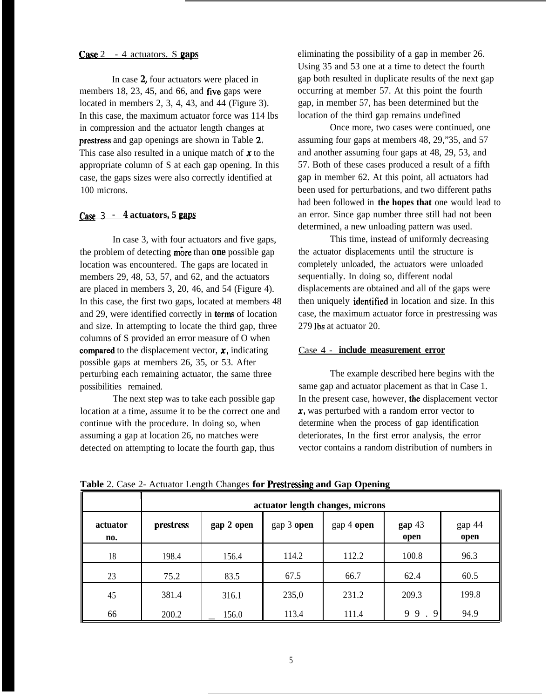## **Case** 2  $-4$  actuators. S **gaps**

In case *2,* four actuators were placed in members 18, 23, 45, and 66, and five gaps were located in members 2, 3, 4, 43, and 44 (Figure 3). In this case, the maximum actuator force was 114 lbs in compression and the actuator length changes at prestress and gap openings are shown in Table 2. This case also resulted in a unique match of  $\boldsymbol{x}$  to the appropriate column of S at each gap opening. In this case, the gaps sizes were also correctly identified at 100 microns.

## **f** Case 3 - **4** actuators, 5 gaps

In case 3, with four actuators and five gaps, the problem of detecting mbre than *one* possible gap location was encountered. The gaps are located in members 29, 48, 53, 57, and 62, and the actuators are placed in members 3, 20, 46, and 54 (Figure 4). In this case, the first two gaps, located at members 48 and 29, were identified correctly in terms of location and size. In attempting to locate the third gap, three columns of S provided an error measure of O when compared to the displacement vector,  $\boldsymbol{x}$ , indicating possible gaps at members 26, 35, or 53. After perturbing each remaining actuator, the same three possibilities remained.

The next step was to take each possible gap location at a time, assume it to be the correct one and continue with the procedure. In doing so, when assuming a gap at location 26, no matches were detected on attempting to locate the fourth gap, thus

eliminating the possibility of a gap in member 26. Using 35 and 53 one at a time to detect the fourth gap both resulted in duplicate results of the next gap occurring at member 57. At this point the fourth gap, in member 57, has been determined but the location of the third gap remains undefined

Once more, two cases were continued, one assuming four gaps at members 48, 29,"35, and 57 and another assuming four gaps at 48, 29, 53, and 57. Both of these cases produced a result of a fifth gap in member 62. At this point, all actuators had been used for perturbations, and two different paths had been followed in **the hopes that** one would lead to an error. Since gap number three still had not been determined, a new unloading pattern was used.

This time, instead of uniformly decreasing the actuator displacements until the structure is completely unloaded, the actuators were unloaded sequentially. In doing so, different nodal displacements are obtained and all of the gaps were then uniquely **identified** in location and size. In this case, the maximum actuator force in prestressing was 279 Ibs at actuator 20.

### Case 4 - **include measurement error**

The example described here begins with the same gap and actuator placement as that in Case 1. In the present case, however, the displacement vector x, was perturbed with a random error vector to determine when the process of gap identification deteriorates, In the first error analysis, the error vector contains a random distribution of numbers in

|                 | actuator length changes, microns |            |            |            |                |                |
|-----------------|----------------------------------|------------|------------|------------|----------------|----------------|
| actuator<br>no. | prestress                        | gap 2 open | gap 3 open | gap 4 open | gap 43<br>open | gap 44<br>open |
| 18              | 198.4                            | 156.4      | 114.2      | 112.2      | 100.8          | 96.3           |
| 23              | 75.2                             | 83.5       | 67.5       | 66.7       | 62.4           | 60.5           |
| 45              | 381.4                            | 316.1      | 235,0      | 231.2      | 209.3          | 199.8          |
| 66              | 200.2                            | 156.0      | 113.4      | 111.4      | 9<br>99        | 94.9           |

**Table** 2. Case 2- Actuator Length Changes **for Prestressing and Gap Opening**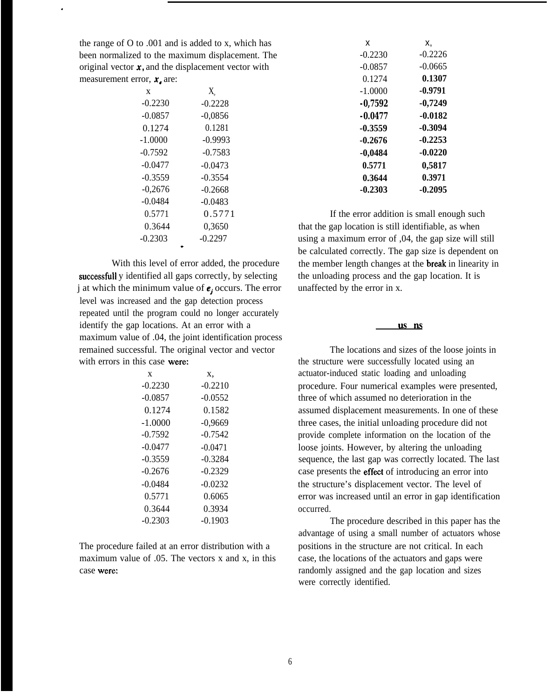the range of O to .001 and is added to x, which has been normalized to the maximum displacement. The original vector  $x$ , and the displacement vector with measurement error,  $x_{\epsilon}$  are:

.

| X         | X.        |
|-----------|-----------|
| $-0.2230$ | $-0.2228$ |
| $-0.0857$ | $-0,0856$ |
| 0.1274    | 0.1281    |
| $-1.0000$ | $-0.9993$ |
| $-0.7592$ | $-0.7583$ |
| $-0.0477$ | $-0.0473$ |
| $-0.3559$ | $-0.3554$ |
| $-0,2676$ | $-0.2668$ |
| $-0.0484$ | $-0.0483$ |
| 0.5771    | 0.5771    |
| 0.3644    | 0,3650    |
| $-0.2303$ | $-0.2297$ |
|           |           |

With this level of error added, the procedure successfull y identified all gaps correctly, by selecting j at which the minimum value of  $e_i$  occurs. The error level was increased and the gap detection process repeated until the program could no longer accurately identify the gap locations. At an error with a maximum value of .04, the joint identification process remained successful. The original vector and vector with errors in this case were:

| X         | x.        |
|-----------|-----------|
| $-0.2230$ | $-0.2210$ |
| $-0.0857$ | $-0.0552$ |
| 0.1274    | 0.1582    |
| $-1.0000$ | $-0.9669$ |
| $-0.7592$ | $-0.7542$ |
| $-0.0477$ | $-0.0471$ |
| $-0.3559$ | $-0.3284$ |
| -0.2676   | $-0.2329$ |
| $-0.0484$ | $-0.0232$ |
| 0.5771    | 0.6065    |
| 0.3644    | 0.3934    |
| -0.2303   | $-0.1903$ |
|           |           |

The procedure failed at an error distribution with a maximum value of .05. The vectors x and x, in this case were:

| x         | х.        |
|-----------|-----------|
| $-0.2230$ | $-0.2226$ |
| $-0.0857$ | $-0.0665$ |
| 0.1274    | 0.1307    |
| $-1.0000$ | $-0.9791$ |
| $-0.7592$ | $-0,7249$ |
| -0.0477   | $-0.0182$ |
| -0.3559   | $-0.3094$ |
| -0.2676   | $-0.2253$ |
| $-0,0484$ | $-0.0220$ |
| 0.5771    | 0,5817    |
| 0.3644    | 0.3971    |
| -0.2303   | $-0.2095$ |
|           |           |

If the error addition is small enough such that the gap location is still identifiable, as when using a maximum error of ,04, the gap size will still be calculated correctly. The gap size is dependent on the member length changes at the break in linearity in the unloading process and the gap location. It is unaffected by the error in x.

#### $us$  ns

The locations and sizes of the loose joints in the structure were successfully located using an actuator-induced static loading and unloading procedure. Four numerical examples were presented, three of which assumed no deterioration in the assumed displacement measurements. In one of these three cases, the initial unloading procedure did not provide complete information on the location of the loose joints. However, by altering the unloading sequence, the last gap was correctly located. The last case presents the effect of introducing an error into the structure's displacement vector. The level of error was increased until an error in gap identification occurred.

The procedure described in this paper has the advantage of using a small number of actuators whose positions in the structure are not critical. In each case, the locations of the actuators and gaps were randomly assigned and the gap location and sizes were correctly identified.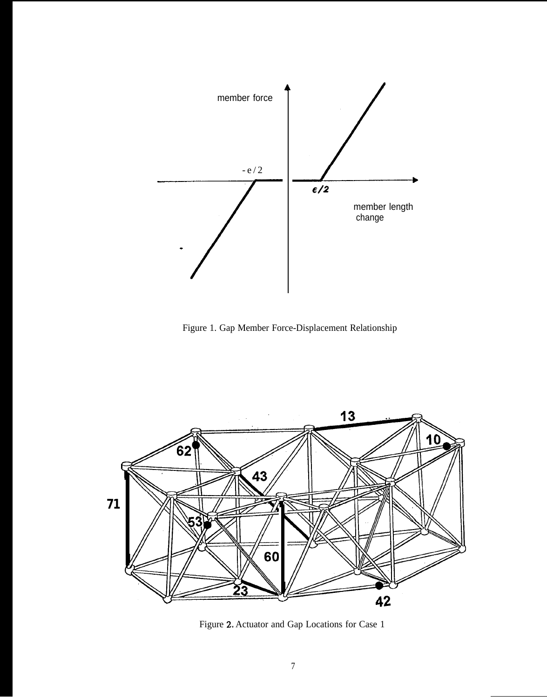

Figure 1. Gap Member Force-Displacement Relationship



Figure 2, Actuator and Gap Locations for Case 1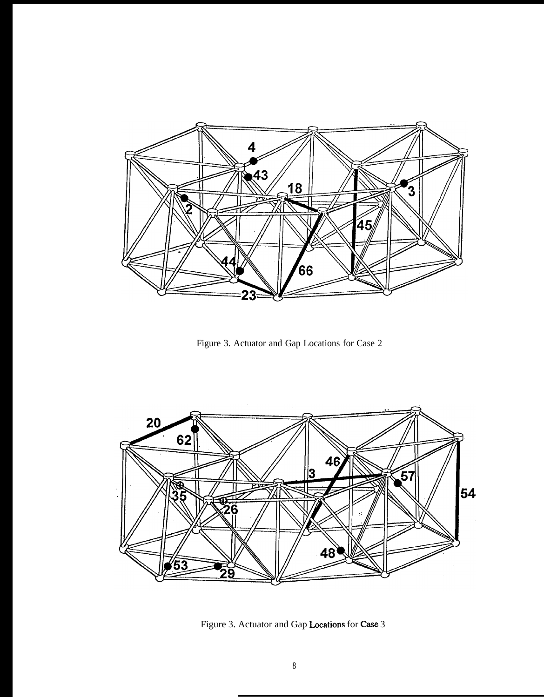

Figure 3. Actuator and Gap Locations for Case 2



Figure 3. Actuator and Gap Locations for Case 3